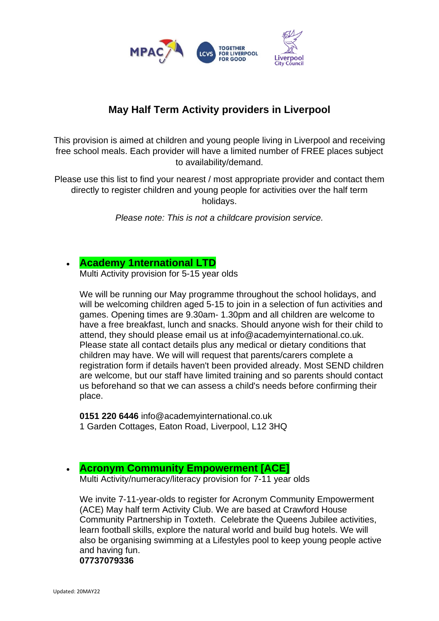

# **May Half Term Activity providers in Liverpool**

This provision is aimed at children and young people living in Liverpool and receiving free school meals. Each provider will have a limited number of FREE places subject to availability/demand.

Please use this list to find your nearest / most appropriate provider and contact them directly to register children and young people for activities over the half term holidays.

*Please note: This is not a childcare provision service.* 

### • **[Academy 1nternational LTD](http://academy1nternational.co.uk/)**

Multi Activity provision for 5-15 year olds

We will be running our May programme throughout the school holidays, and will be welcoming children aged 5-15 to join in a selection of fun activities and games. Opening times are 9.30am- 1.30pm and all children are welcome to have a free breakfast, lunch and snacks. Should anyone wish for their child to attend, they should please email us at info@academyinternational.co.uk. Please state all contact details plus any medical or dietary conditions that children may have. We will will request that parents/carers complete a registration form if details haven't been provided already. Most SEND children are welcome, but our staff have limited training and so parents should contact us beforehand so that we can assess a child's needs before confirming their place.

**0151 220 6446** info@academyinternational.co.uk 1 Garden Cottages, Eaton Road, Liverpool, L12 3HQ

### • **[Acronym Community Empowerment \[ACE\]](https://www.acronymcommunityempowerment.org/)**

Multi Activity/numeracy/literacy provision for 7-11 year olds

We invite 7-11-year-olds to register for Acronym Community Empowerment (ACE) May half term Activity Club. We are based at Crawford House Community Partnership in Toxteth. Celebrate the Queens Jubilee activities, learn football skills, explore the natural world and build bug hotels. We will also be organising swimming at a Lifestyles pool to keep young people active and having fun. **07737079336**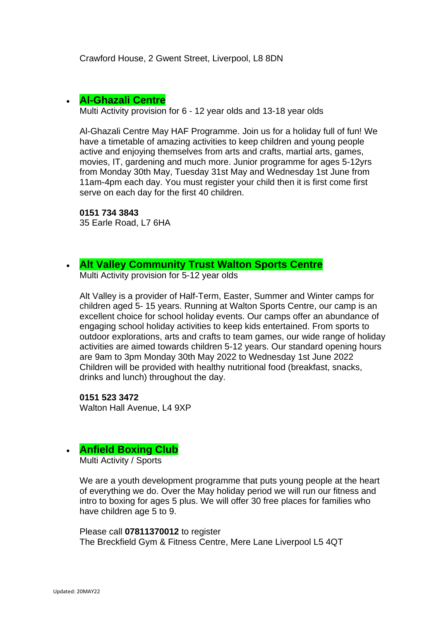Crawford House, 2 Gwent Street, Liverpool, L8 8DN

### • **[Al-Ghazali Centre](https://alghazalicentre.co.uk/)**

Multi Activity provision for 6 - 12 year olds and 13-18 year olds

Al-Ghazali Centre May HAF Programme. Join us for a holiday full of fun! We have a timetable of amazing activities to keep children and young people active and enjoying themselves from arts and crafts, martial arts, games, movies, IT, gardening and much more. Junior programme for ages 5-12yrs from Monday 30th May, Tuesday 31st May and Wednesday 1st June from 11am-4pm each day. You must register your child then it is first come first serve on each day for the first 40 children.

#### **0151 734 3843**

35 Earle Road, L7 6HA

### • **[Alt Valley Community Trust](https://www.altvalley.co.uk/lifestyleswalton) Walton Sports Centre** Multi Activity provision for 5-12 year olds

Alt Valley is a provider of Half-Term, Easter, Summer and Winter camps for children aged 5- 15 years. Running at Walton Sports Centre, our camp is an excellent choice for school holiday events. Our camps offer an abundance of engaging school holiday activities to keep kids entertained. From sports to outdoor explorations, arts and crafts to team games, our wide range of holiday activities are aimed towards children 5-12 years. Our standard opening hours are 9am to 3pm Monday 30th May 2022 to Wednesday 1st June 2022 Children will be provided with healthy nutritional food (breakfast, snacks, drinks and lunch) throughout the day.

**0151 523 3472** Walton Hall Avenue, L4 9XP

# • **Anfield Boxing Club**

Multi Activity / Sports

We are a youth development programme that puts young people at the heart of everything we do. Over the May holiday period we will run our fitness and intro to boxing for ages 5 plus. We will offer 30 free places for families who have children age 5 to 9.

Please call **07811370012** to register The Breckfield Gym & Fitness Centre, Mere Lane Liverpool L5 4QT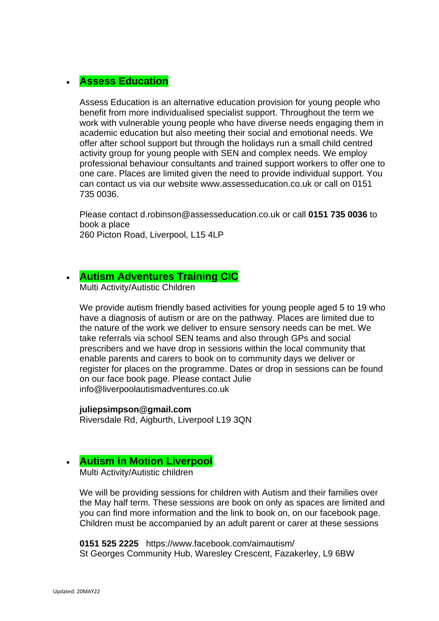### • **Assess Education**

Assess Education is an alternative education provision for young people who benefit from more individualised specialist support. Throughout the term we work with vulnerable young people who have diverse needs engaging them in academic education but also meeting their social and emotional needs. We offer after school support but through the holidays run a small child centred activity group for young people with SEN and complex needs. We employ professional behaviour consultants and trained support workers to offer one to one care. Places are limited given the need to provide individual support. You can contact us via our website www.assesseducation.co.uk or call on 0151 735 0036.

Please contact d.robinson@assesseducation.co.uk or call **0151 735 0036** to book a place 260 Picton Road, Liverpool, L15 4LP

# • **[Autism Adventures Training CIC](http://liverpoolautismadventures.co.uk/)**

Multi Activity/Autistic Children

We provide autism friendly based activities for young people aged 5 to 19 who have a diagnosis of autism or are on the pathway. Places are limited due to the nature of the work we deliver to ensure sensory needs can be met. We take referrals via school SEN teams and also through GPs and social prescribers and we have drop in sessions within the local community that enable parents and carers to book on to community days we deliver or register for places on the programme. Dates or drop in sessions can be found on our face book page. Please contact Julie info@liverpoolautismadventures.co.uk

**juliepsimpson@gmail.com** Riversdale Rd, Aigburth, Liverpool L19 3QN

### • **[Autism in Motion Liverpool](https://www.aimautism.com/)**

Multi Activity/Autistic children

We will be providing sessions for children with Autism and their families over the May half term. These sessions are book on only as spaces are limited and you can find more information and the link to book on, on our facebook page. Children must be accompanied by an adult parent or carer at these sessions

**0151 525 2225** https://www.facebook.com/aimautism/ St Georges Community Hub, Waresley Crescent, Fazakerley, L9 6BW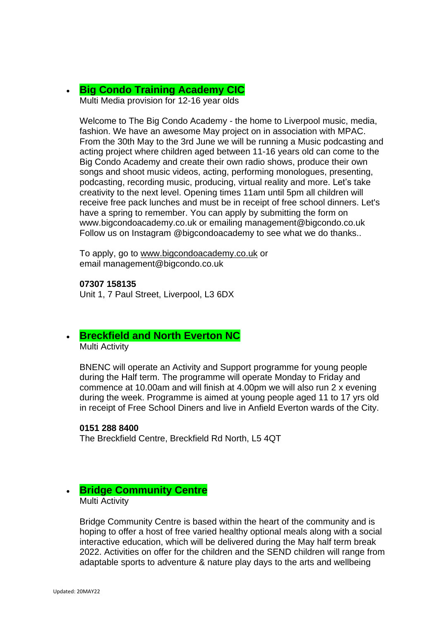• **[Big Condo Training Academy CIC](http://bigcondoacademy.co.uk/)** Multi Media provision for 12-16 year olds

Welcome to The Big Condo Academy - the home to Liverpool music, media, fashion. We have an awesome May project on in association with MPAC. From the 30th May to the 3rd June we will be running a Music podcasting and acting project where children aged between 11-16 years old can come to the Big Condo Academy and create their own radio shows, produce their own songs and shoot music videos, acting, performing monologues, presenting, podcasting, recording music, producing, virtual reality and more. Let's take creativity to the next level. Opening times 11am until 5pm all children will receive free pack lunches and must be in receipt of free school dinners. Let's have a spring to remember. You can apply by submitting the form on www.bigcondoacademy.co.uk or emailing management@bigcondo.co.uk Follow us on Instagram @bigcondoacademy to see what we do thanks..

To apply, go to [www.bigcondoacademy.co.uk](http://www.bigcondoacademy.co.uk/) or email management@bigcondo.co.uk

**07307 158135** Unit 1, 7 Paul Street, Liverpool, L3 6DX

#### • **Breckfield and North Everton NC** Multi Activity

BNENC will operate an Activity and Support programme for young people during the Half term. The programme will operate Monday to Friday and commence at 10.00am and will finish at 4.00pm we will also run 2 x evening during the week. Programme is aimed at young people aged 11 to 17 yrs old in receipt of Free School Diners and live in Anfield Everton wards of the City.

#### **0151 288 8400**

The Breckfield Centre, Breckfield Rd North, L5 4QT

#### • **Bridge Community Centre** Multi Activity

Bridge Community Centre is based within the heart of the community and is hoping to offer a host of free varied healthy optional meals along with a social interactive education, which will be delivered during the May half term break 2022. Activities on offer for the children and the SEND children will range from adaptable sports to adventure & nature play days to the arts and wellbeing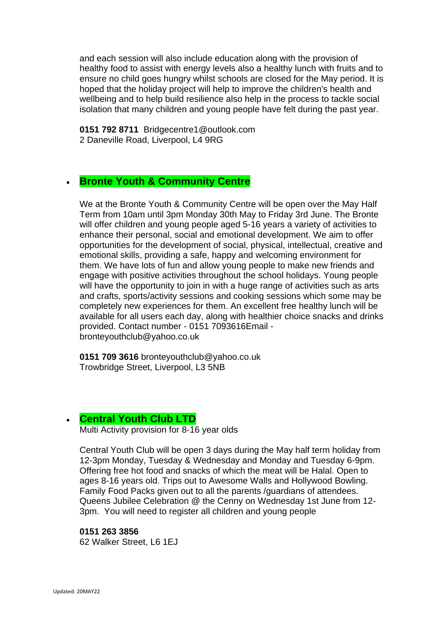and each session will also include education along with the provision of healthy food to assist with energy levels also a healthy lunch with fruits and to ensure no child goes hungry whilst schools are closed for the May period. It is hoped that the holiday project will help to improve the children's health and wellbeing and to help build resilience also help in the process to tackle social isolation that many children and young people have felt during the past year.

**0151 792 8711** Bridgecentre1@outlook.com 2 Daneville Road, Liverpool, L4 9RG

# • **Bronte Youth & Community Centre**

We at the Bronte Youth & Community Centre will be open over the May Half Term from 10am until 3pm Monday 30th May to Friday 3rd June. The Bronte will offer children and young people aged 5-16 years a variety of activities to enhance their personal, social and emotional development. We aim to offer opportunities for the development of social, physical, intellectual, creative and emotional skills, providing a safe, happy and welcoming environment for them. We have lots of fun and allow young people to make new friends and engage with positive activities throughout the school holidays. Young people will have the opportunity to join in with a huge range of activities such as arts and crafts, sports/activity sessions and cooking sessions which some may be completely new experiences for them. An excellent free healthy lunch will be available for all users each day, along with healthier choice snacks and drinks provided. Contact number - 0151 7093616Email bronteyouthclub@yahoo.co.uk

**0151 709 3616** bronteyouthclub@yahoo.co.uk Trowbridge Street, Liverpool, L3 5NB

### • **[Central Youth Club LTD](https://www.familiesonline.co.uk/local/liverpool/listing/central-youth-club-liverpool-186457)**

Multi Activity provision for 8-16 year olds

Central Youth Club will be open 3 days during the May half term holiday from 12-3pm Monday, Tuesday & Wednesday and Monday and Tuesday 6-9pm. Offering free hot food and snacks of which the meat will be Halal. Open to ages 8-16 years old. Trips out to Awesome Walls and Hollywood Bowling. Family Food Packs given out to all the parents /guardians of attendees. Queens Jubilee Celebration @ the Cenny on Wednesday 1st June from 12- 3pm. You will need to register all children and young people

#### **0151 263 3856**

62 Walker Street, L6 1EJ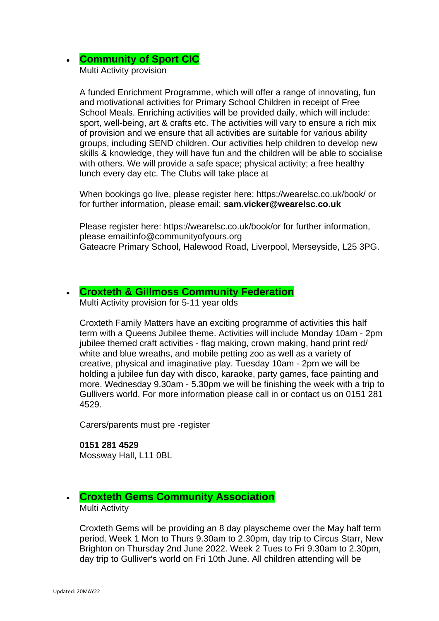# • **Community of Sport CIC**

Multi Activity provision

A funded Enrichment Programme, which will offer a range of innovating, fun and motivational activities for Primary School Children in receipt of Free School Meals. Enriching activities will be provided daily, which will include: sport, well-being, art & crafts etc. The activities will vary to ensure a rich mix of provision and we ensure that all activities are suitable for various ability groups, including SEND children. Our activities help children to develop new skills & knowledge, they will have fun and the children will be able to socialise with others. We will provide a safe space; physical activity; a free healthy lunch every day etc. The Clubs will take place at

When bookings go live, please register here: https://wearelsc.co.uk/book/ or for further information, please email: **sam.vicker@wearelsc.co.uk**

Please register here: https://wearelsc.co.uk/book/or for further information, please email:info@communityofyours.org Gateacre Primary School, Halewood Road, Liverpool, Merseyside, L25 3PG.

### • **[Croxteth & Gillmoss Community Federation](http://www.croxtethfamilymatters.co.uk/home.html)**

Multi Activity provision for 5-11 year olds

Croxteth Family Matters have an exciting programme of activities this half term with a Queens Jubilee theme. Activities will include Monday 10am - 2pm jubilee themed craft activities - flag making, crown making, hand print red/ white and blue wreaths, and mobile petting zoo as well as a variety of creative, physical and imaginative play. Tuesday 10am - 2pm we will be holding a jubilee fun day with disco, karaoke, party games, face painting and more. Wednesday 9.30am - 5.30pm we will be finishing the week with a trip to Gullivers world. For more information please call in or contact us on 0151 281 4529.

Carers/parents must pre -register

**0151 281 4529** Mossway Hall, L11 0BL

### • **[Croxteth Gems Community Association](https://www.facebook.com/Croxteth-Gems-1764266527136603/)** Multi Activity

Croxteth Gems will be providing an 8 day playscheme over the May half term period. Week 1 Mon to Thurs 9.30am to 2.30pm, day trip to Circus Starr, New Brighton on Thursday 2nd June 2022. Week 2 Tues to Fri 9.30am to 2.30pm, day trip to Gulliver's world on Fri 10th June. All children attending will be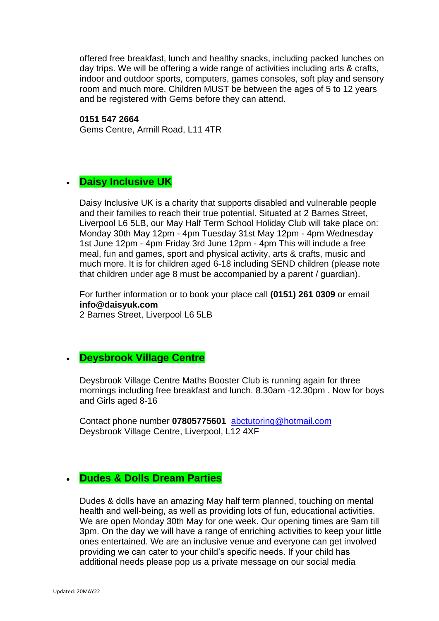offered free breakfast, lunch and healthy snacks, including packed lunches on day trips. We will be offering a wide range of activities including arts & crafts, indoor and outdoor sports, computers, games consoles, soft play and sensory room and much more. Children MUST be between the ages of 5 to 12 years and be registered with Gems before they can attend.

#### **0151 547 2664**

Gems Centre, Armill Road, L11 4TR

### • **[Daisy](https://www.facebook.com/deysbrook.centre/) Inclusive UK**

Daisy Inclusive UK is a charity that supports disabled and vulnerable people and their families to reach their true potential. Situated at 2 Barnes Street, Liverpool L6 5LB, our May Half Term School Holiday Club will take place on: Monday 30th May 12pm - 4pm Tuesday 31st May 12pm - 4pm Wednesday 1st June 12pm - 4pm Friday 3rd June 12pm - 4pm This will include a free meal, fun and games, sport and physical activity, arts & crafts, music and much more. It is for children aged 6-18 including SEND children (please note that children under age 8 must be accompanied by a parent / guardian).

For further information or to book your place call **(0151) 261 0309** or email **info@daisyuk.com**

2 Barnes Street, Liverpool L6 5LB

# • **Deysbrook Village Centre**

Deysbrook Village Centre Maths Booster Club is running again for three mornings including free breakfast and lunch. 8.30am -12.30pm . Now for boys and Girls aged 8-16

Contact phone number **07805775601** [abctutoring@hotmail.com](mailto:abctutoring@hotmail.com) Deysbrook Village Centre, Liverpool, L12 4XF

### • **Dudes & Dolls Dream Parties**

Dudes & dolls have an amazing May half term planned, touching on mental health and well-being, as well as providing lots of fun, educational activities. We are open Monday 30th May for one week. Our opening times are 9am till 3pm. On the day we will have a range of enriching activities to keep your little ones entertained. We are an inclusive venue and everyone can get involved providing we can cater to your child's specific needs. If your child has additional needs please pop us a private message on our social media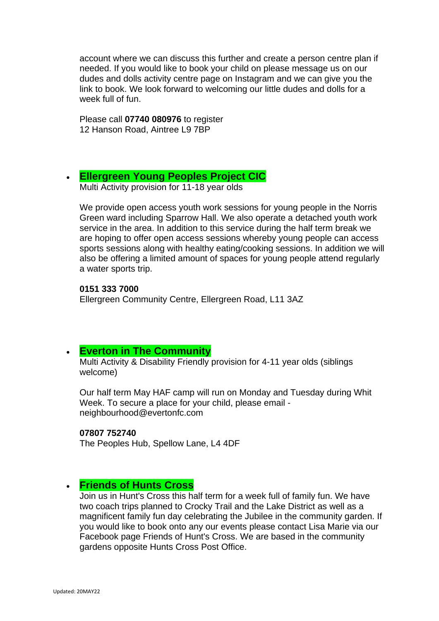account where we can discuss this further and create a person centre plan if needed. If you would like to book your child on please message us on our dudes and dolls activity centre page on Instagram and we can give you the link to book. We look forward to welcoming our little dudes and dolls for a week full of fun.

Please call **07740 080976** to register 12 Hanson Road, Aintree L9 7BP

### • **[Ellergreen Young Peoples Project CIC](https://www.facebook.com/Ellergreen-Community-Centre-1622527047766550/about/)**

Multi Activity provision for 11-18 year olds

We provide open access youth work sessions for young people in the Norris Green ward including Sparrow Hall. We also operate a detached youth work service in the area. In addition to this service during the half term break we are hoping to offer open access sessions whereby young people can access sports sessions along with healthy eating/cooking sessions. In addition we will also be offering a limited amount of spaces for young people attend regularly a water sports trip.

**0151 333 7000** Ellergreen Community Centre, Ellergreen Road, L11 3AZ

### • **[Everton in The Community](https://www.evertoninthecommunity.org/)**

Multi Activity & Disability Friendly provision for 4-11 year olds (siblings welcome)

Our half term May HAF camp will run on Monday and Tuesday during Whit Week. To secure a place for your child, please email neighbourhood@evertonfc.com

#### **07807 752740**

The Peoples Hub, Spellow Lane, L4 4DF

### • **Friends of Hunts Cross**

Join us in Hunt's Cross this half term for a week full of family fun. We have two coach trips planned to Crocky Trail and the Lake District as well as a magnificent family fun day celebrating the Jubilee in the community garden. If you would like to book onto any our events please contact Lisa Marie via our Facebook page Friends of Hunt's Cross. We are based in the community gardens opposite Hunts Cross Post Office.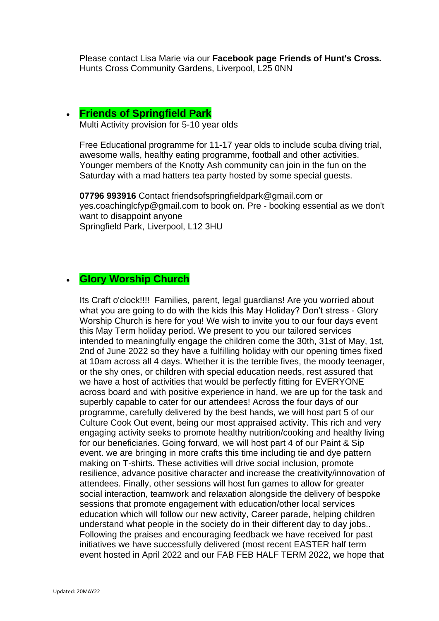Please contact Lisa Marie via our **Facebook page Friends of Hunt's Cross.** Hunts Cross Community Gardens, Liverpool, L25 0NN

### • **Friends of Springfield Park**

Multi Activity provision for 5-10 year olds

Free Educational programme for 11-17 year olds to include scuba diving trial, awesome walls, healthy eating programme, football and other activities. Younger members of the Knotty Ash community can join in the fun on the Saturday with a mad hatters tea party hosted by some special guests.

**07796 993916** Contact friendsofspringfieldpark@gmail.com or yes.coachinglcfyp@gmail.com to book on. Pre - booking essential as we don't want to disappoint anyone Springfield Park, Liverpool, L12 3HU

# • **Glory Worship Church**

Its Craft o'clock!!!! Families, parent, legal guardians! Are you worried about what you are going to do with the kids this May Holiday? Don't stress - Glory Worship Church is here for you! We wish to invite you to our four days event this May Term holiday period. We present to you our tailored services intended to meaningfully engage the children come the 30th, 31st of May, 1st, 2nd of June 2022 so they have a fulfilling holiday with our opening times fixed at 10am across all 4 days. Whether it is the terrible fives, the moody teenager, or the shy ones, or children with special education needs, rest assured that we have a host of activities that would be perfectly fitting for EVERYONE across board and with positive experience in hand, we are up for the task and superbly capable to cater for our attendees! Across the four days of our programme, carefully delivered by the best hands, we will host part 5 of our Culture Cook Out event, being our most appraised activity. This rich and very engaging activity seeks to promote healthy nutrition/cooking and healthy living for our beneficiaries. Going forward, we will host part 4 of our Paint & Sip event. we are bringing in more crafts this time including tie and dye pattern making on T-shirts. These activities will drive social inclusion, promote resilience, advance positive character and increase the creativity/innovation of attendees. Finally, other sessions will host fun games to allow for greater social interaction, teamwork and relaxation alongside the delivery of bespoke sessions that promote engagement with education/other local services education which will follow our new activity, Career parade, helping children understand what people in the society do in their different day to day jobs.. Following the praises and encouraging feedback we have received for past initiatives we have successfully delivered (most recent EASTER half term event hosted in April 2022 and our FAB FEB HALF TERM 2022, we hope that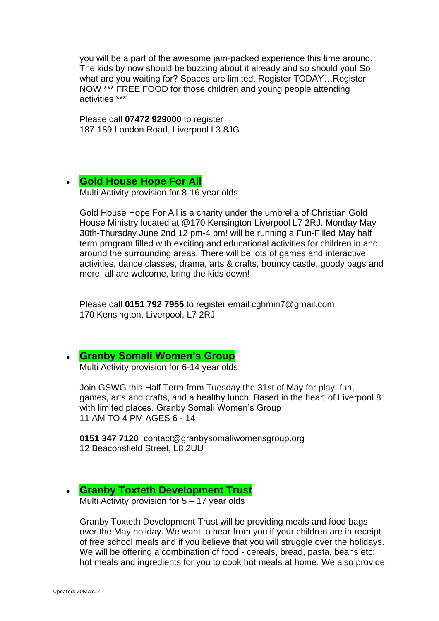you will be a part of the awesome jam-packed experience this time around. The kids by now should be buzzing about it already and so should you! So what are you waiting for? Spaces are limited. Register TODAY…Register NOW \*\*\* FREE FOOD for those children and young people attending activities \*\*\*

Please call **07472 929000** to register 187-189 London Road, Liverpool L3 8JG

#### • **Gold House Hope For All** Multi Activity provision for 8-16 year olds

Gold House Hope For All is a charity under the umbrella of Christian Gold House Ministry located at @170 Kensington Liverpool L7 2RJ. Monday May 30th-Thursday June 2nd 12 pm-4 pm! will be running a Fun-Filled May half term program filled with exciting and educational activities for children in and around the surrounding areas. There will be lots of games and interactive activities, dance classes, drama, arts & crafts, bouncy castle, goody bags and more, all are welcome, bring the kids down!

Please call **0151 792 7955** to register email cghmin7@gmail.com 170 Kensington, Liverpool, L7 2RJ

### • **[Granby Somali Women's Group](http://www.granbysomaliwomensgroup.org/)**

Multi Activity provision for 6-14 year olds

Join GSWG this Half Term from Tuesday the 31st of May for play, fun, games, arts and crafts, and a healthy lunch. Based in the heart of Liverpool 8 with limited places. Granby Somali Women's Group 11 AM TO 4 PM AGES 6 - 14

**0151 347 7120** contact@granbysomaliwomensgroup.org 12 Beaconsfield Street, L8 2UU

### • **Granby Toxteth Development Trust**

Multi Activity provision for 5 – 17 year olds

Granby Toxteth Development Trust will be providing meals and food bags over the May holiday. We want to hear from you if your children are in receipt of free school meals and if you believe that you will struggle over the holidays. We will be offering a combination of food - cereals, bread, pasta, beans etc; hot meals and ingredients for you to cook hot meals at home. We also provide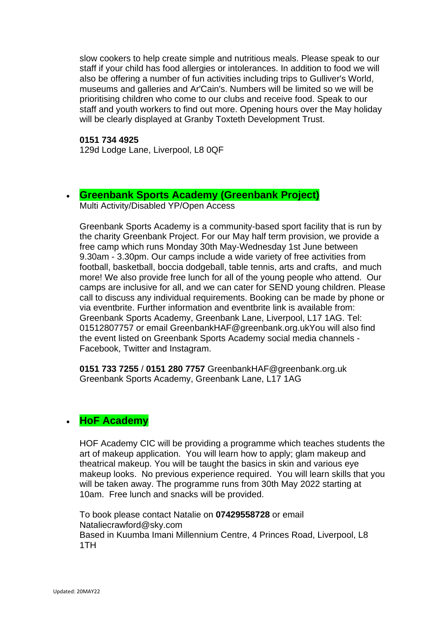slow cookers to help create simple and nutritious meals. Please speak to our staff if your child has food allergies or intolerances. In addition to food we will also be offering a number of fun activities including trips to Gulliver's World, museums and galleries and Ar'Cain's. Numbers will be limited so we will be prioritising children who come to our clubs and receive food. Speak to our staff and youth workers to find out more. Opening hours over the May holiday will be clearly displayed at Granby Toxteth Development Trust.

#### **0151 734 4925**

129d Lodge Lane, Liverpool, L8 0QF

### • **[Greenbank Sports Academy \(Greenbank Project\)](https://www.greenbank.org.uk/)**

Multi Activity/Disabled YP/Open Access

Greenbank Sports Academy is a community-based sport facility that is run by the charity Greenbank Project. For our May half term provision, we provide a free camp which runs Monday 30th May-Wednesday 1st June between 9.30am - 3.30pm. Our camps include a wide variety of free activities from football, basketball, boccia dodgeball, table tennis, arts and crafts, and much more! We also provide free lunch for all of the young people who attend. Our camps are inclusive for all, and we can cater for SEND young children. Please call to discuss any individual requirements. Booking can be made by phone or via eventbrite. Further information and eventbrite link is available from: Greenbank Sports Academy, Greenbank Lane, Liverpool, L17 1AG. Tel: 01512807757 or email GreenbankHAF@greenbank.org.ukYou will also find the event listed on Greenbank Sports Academy social media channels - Facebook, Twitter and Instagram.

**0151 733 7255** / **0151 280 7757** GreenbankHAF@greenbank.org.uk Greenbank Sports Academy, Greenbank Lane, L17 1AG

# • **HoF Academy**

HOF Academy CIC will be providing a programme which teaches students the art of makeup application. You will learn how to apply; glam makeup and theatrical makeup. You will be taught the basics in skin and various eye makeup looks. No previous experience required. You will learn skills that you will be taken away. The programme runs from 30th May 2022 starting at 10am. Free lunch and snacks will be provided.

To book please contact Natalie on **07429558728** or email Nataliecrawford@sky.com Based in Kuumba Imani Millennium Centre, 4 Princes Road, Liverpool, L8 1TH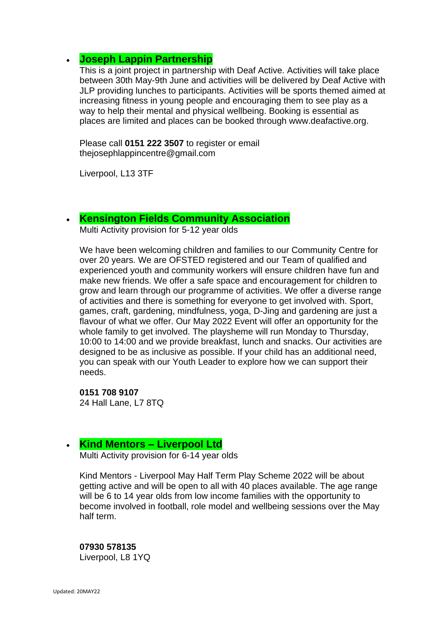# • **Joseph Lappin Partnership**

This is a joint project in partnership with Deaf Active. Activities will take place between 30th May-9th June and activities will be delivered by Deaf Active with JLP providing lunches to participants. Activities will be sports themed aimed at increasing fitness in young people and encouraging them to see play as a way to help their mental and physical wellbeing. Booking is essential as places are limited and places can be booked through www.deafactive.org.

Please call **0151 222 3507** to register or email thejosephlappincentre@gmail.com

Liverpool, L13 3TF

### • **[Kensington Fields Community Association](https://www.facebook.com/Kensington-Fields-Community-Centre-152367372066953/)**

Multi Activity provision for 5-12 year olds

We have been welcoming children and families to our Community Centre for over 20 years. We are OFSTED registered and our Team of qualified and experienced youth and community workers will ensure children have fun and make new friends. We offer a safe space and encouragement for children to grow and learn through our programme of activities. We offer a diverse range of activities and there is something for everyone to get involved with. Sport, games, craft, gardening, mindfulness, yoga, D-Jing and gardening are just a flavour of what we offer. Our May 2022 Event will offer an opportunity for the whole family to get involved. The playsheme will run Monday to Thursday, 10:00 to 14:00 and we provide breakfast, lunch and snacks. Our activities are designed to be as inclusive as possible. If your child has an additional need, you can speak with our Youth Leader to explore how we can support their needs.

**0151 708 9107** 24 Hall Lane, L7 8TQ

### • **Kind Mentors – Liverpool Ltd**

Multi Activity provision for 6-14 year olds

Kind Mentors - Liverpool May Half Term Play Scheme 2022 will be about getting active and will be open to all with 40 places available. The age range will be 6 to 14 year olds from low income families with the opportunity to become involved in football, role model and wellbeing sessions over the May half term.

# **07930 578135**

Liverpool, L8 1YQ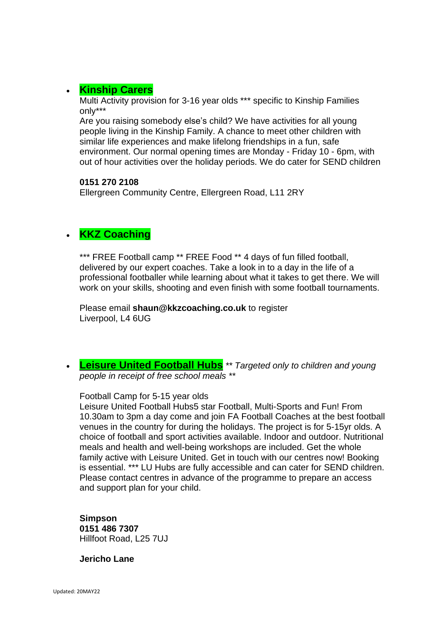# • **[Kinship Carers](https://kinshipcarersliverpool.co.uk/)**

Multi Activity provision for 3-16 year olds \*\*\* specific to Kinship Families only\*\*\*

Are you raising somebody else's child? We have activities for all young people living in the Kinship Family. A chance to meet other children with similar life experiences and make lifelong friendships in a fun, safe environment. Our normal opening times are Monday - Friday 10 - 6pm, with out of hour activities over the holiday periods. We do cater for SEND children

#### **0151 270 2108**

Ellergreen Community Centre, Ellergreen Road, L11 2RY

# • **KKZ Coaching**

\*\*\* FREE Football camp \*\* FREE Food \*\* 4 days of fun filled football, delivered by our expert coaches. Take a look in to a day in the life of a professional footballer while learning about what it takes to get there. We will work on your skills, shooting and even finish with some football tournaments.

Please email **shaun@kkzcoaching.co.uk** to register Liverpool, L4 6UG

• **[Leisure United Football Hubs](https://leisureunited.com/)** *\*\* Targeted only to children and young people in receipt of free school meals \*\**

#### Football Camp for 5-15 year olds

Leisure United Football Hubs5 star Football, Multi-Sports and Fun! From 10.30am to 3pm a day come and join FA Football Coaches at the best football venues in the country for during the holidays. The project is for 5-15yr olds. A choice of football and sport activities available. Indoor and outdoor. Nutritional meals and health and well-being workshops are included. Get the whole family active with Leisure United. Get in touch with our centres now! Booking is essential. \*\*\* LU Hubs are fully accessible and can cater for SEND children. Please contact centres in advance of the programme to prepare an access and support plan for your child.

**Simpson 0151 486 7307** Hillfoot Road, L25 7UJ

**Jericho Lane**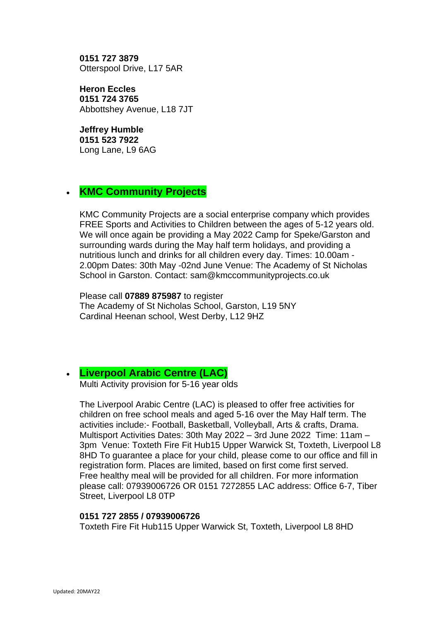**0151 727 3879** Otterspool Drive, L17 5AR

**Heron Eccles 0151 724 3765** Abbottshey Avenue, L18 7JT

**Jeffrey Humble 0151 523 7922** Long Lane, L9 6AG

### • **KMC Community Projects**

KMC Community Projects are a social enterprise company which provides FREE Sports and Activities to Children between the ages of 5-12 years old. We will once again be providing a May 2022 Camp for Speke/Garston and surrounding wards during the May half term holidays, and providing a nutritious lunch and drinks for all children every day. Times: 10.00am - 2.00pm Dates: 30th May -02nd June Venue: The Academy of St Nicholas School in Garston. Contact: sam@kmccommunityprojects.co.uk

Please call **07889 875987** to register The Academy of St Nicholas School, Garston, L19 5NY Cardinal Heenan school, West Derby, L12 9HZ

### • **[Liverpool Arabic Centre \(LAC\)](https://liverpoolarabiccentre.org.uk/)**

Multi Activity provision for 5-16 year olds

The Liverpool Arabic Centre (LAC) is pleased to offer free activities for children on free school meals and aged 5-16 over the May Half term. The activities include:- Football, Basketball, Volleyball, Arts & crafts, Drama. Multisport Activities Dates: 30th May 2022 – 3rd June 2022 Time: 11am – 3pm Venue: Toxteth Fire Fit Hub15 Upper Warwick St, Toxteth, Liverpool L8 8HD To guarantee a place for your child, please come to our office and fill in registration form. Places are limited, based on first come first served. Free healthy meal will be provided for all children. For more information please call: 07939006726 OR 0151 7272855 LAC address: Office 6-7, Tiber Street, Liverpool L8 0TP

### **0151 727 2855 / 07939006726**

Toxteth Fire Fit Hub115 Upper Warwick St, Toxteth, Liverpool L8 8HD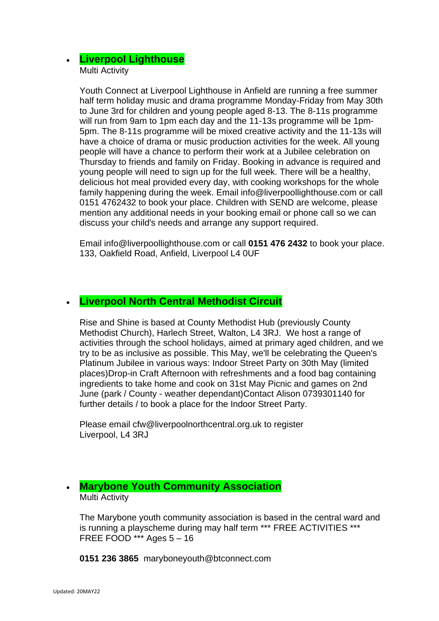### • **Liverpool Lighthouse** Multi Activity

Youth Connect at Liverpool Lighthouse in Anfield are running a free summer half term holiday music and drama programme Monday-Friday from May 30th to June 3rd for children and young people aged 8-13. The 8-11s programme will run from 9am to 1pm each day and the 11-13s programme will be 1pm-5pm. The 8-11s programme will be mixed creative activity and the 11-13s will have a choice of drama or music production activities for the week. All young people will have a chance to perform their work at a Jubilee celebration on Thursday to friends and family on Friday. Booking in advance is required and young people will need to sign up for the full week. There will be a healthy, delicious hot meal provided every day, with cooking workshops for the whole family happening during the week. Email info@liverpoollighthouse.com or call 0151 4762432 to book your place. Children with SEND are welcome, please mention any additional needs in your booking email or phone call so we can discuss your child's needs and arrange any support required.

Email info@liverpoollighthouse.com or call **0151 476 2432** to book your place. 133, Oakfield Road, Anfield, Liverpool L4 0UF

### • **Liverpool North Central Methodist Circuit**

Rise and Shine is based at County Methodist Hub (previously County Methodist Church), Harlech Street, Walton, L4 3RJ. We host a range of activities through the school holidays, aimed at primary aged children, and we try to be as inclusive as possible. This May, we'll be celebrating the Queen's Platinum Jubilee in various ways: Indoor Street Party on 30th May (limited places)Drop-in Craft Afternoon with refreshments and a food bag containing ingredients to take home and cook on 31st May Picnic and games on 2nd June (park / County - weather dependant)Contact Alison 0739301140 for further details / to book a place for the Indoor Street Party.

Please email cfw@liverpoolnorthcentral.org.uk to register Liverpool, L4 3RJ

### • **[Marybone Youth Community Association](http://www.marybone.org.uk/)** Multi Activity

The Marybone youth community association is based in the central ward and is running a playscheme during may half term \*\*\* FREE ACTIVITIES \*\*\* FREE FOOD \*\*\* Ages 5 – 16

**0151 236 3865** maryboneyouth@btconnect.com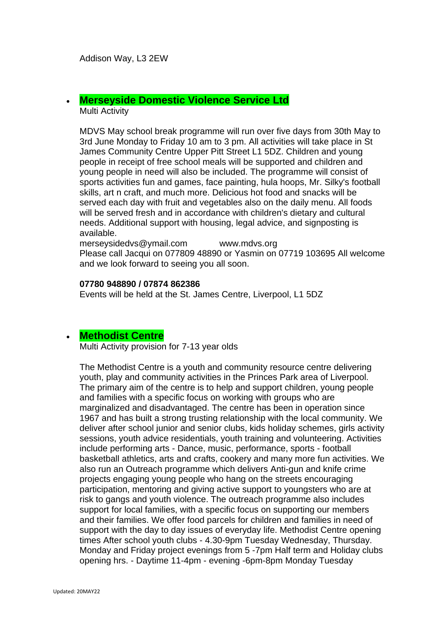Addison Way, L3 2EW

# • **[Merseyside Domestic Violence Service Ltd](https://www.mdvs.org/)**

Multi Activity

MDVS May school break programme will run over five days from 30th May to 3rd June Monday to Friday 10 am to 3 pm. All activities will take place in St James Community Centre Upper Pitt Street L1 5DZ. Children and young people in receipt of free school meals will be supported and children and young people in need will also be included. The programme will consist of sports activities fun and games, face painting, hula hoops, Mr. Silky's football skills, art n craft, and much more. Delicious hot food and snacks will be served each day with fruit and vegetables also on the daily menu. All foods will be served fresh and in accordance with children's dietary and cultural needs. Additional support with housing, legal advice, and signposting is available.

merseysidedvs@ymail.com www.mdvs.org Please call Jacqui on 077809 48890 or Yasmin on 07719 103695 All welcome and we look forward to seeing you all soon.

#### **07780 948890 / 07874 862386**

Events will be held at the St. James Centre, Liverpool, L1 5DZ

### • **[Methodist Centre](https://www.familiesonline.co.uk/local/liverpool/listing/the-methodist-centre-190912)**

Multi Activity provision for 7-13 year olds

The Methodist Centre is a youth and community resource centre delivering youth, play and community activities in the Princes Park area of Liverpool. The primary aim of the centre is to help and support children, young people and families with a specific focus on working with groups who are marginalized and disadvantaged. The centre has been in operation since 1967 and has built a strong trusting relationship with the local community. We deliver after school junior and senior clubs, kids holiday schemes, girls activity sessions, youth advice residentials, youth training and volunteering. Activities include performing arts - Dance, music, performance, sports - football basketball athletics, arts and crafts, cookery and many more fun activities. We also run an Outreach programme which delivers Anti-gun and knife crime projects engaging young people who hang on the streets encouraging participation, mentoring and giving active support to youngsters who are at risk to gangs and youth violence. The outreach programme also includes support for local families, with a specific focus on supporting our members and their families. We offer food parcels for children and families in need of support with the day to day issues of everyday life. Methodist Centre opening times After school youth clubs - 4.30-9pm Tuesday Wednesday, Thursday. Monday and Friday project evenings from 5 -7pm Half term and Holiday clubs opening hrs. - Daytime 11-4pm - evening -6pm-8pm Monday Tuesday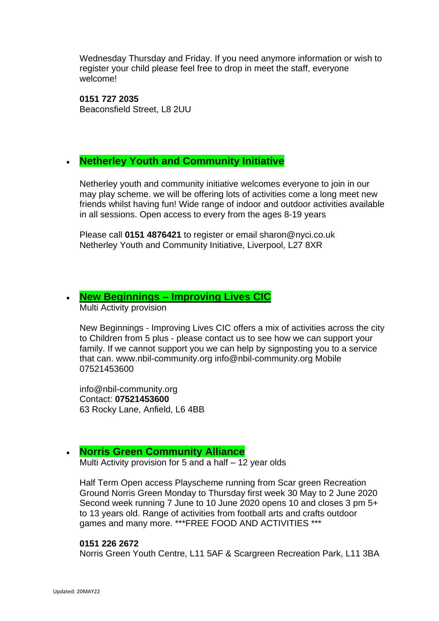Wednesday Thursday and Friday. If you need anymore information or wish to register your child please feel free to drop in meet the staff, everyone welcome!

**0151 727 2035** Beaconsfield Street, L8 2UU

# • **Netherley Youth and Community Initiative**

Netherley youth and community initiative welcomes everyone to join in our may play scheme. we will be offering lots of activities come a long meet new friends whilst having fun! Wide range of indoor and outdoor activities available in all sessions. Open access to every from the ages 8-19 years

Please call **0151 4876421** to register or email sharon@nyci.co.uk Netherley Youth and Community Initiative, Liverpool, L27 8XR

# • **New Beginnings – [Improving Lives CIC](https://www.nbil-community.org/)**

Multi Activity provision

New Beginnings - Improving Lives CIC offers a mix of activities across the city to Children from 5 plus - please contact us to see how we can support your family. If we cannot support you we can help by signposting you to a service that can. www.nbil-community.org info@nbil-community.org Mobile 07521453600

info@nbil-community.org Contact: **07521453600** 63 Rocky Lane, Anfield, L6 4BB

### • **[Norris Green Community Alliance](https://www.facebook.com/NorrisGreenCommunityAlliance/)**

Multi Activity provision for 5 and a half – 12 year olds

Half Term Open access Playscheme running from Scar green Recreation Ground Norris Green Monday to Thursday first week 30 May to 2 June 2020 Second week running 7 June to 10 June 2020 opens 10 and closes 3 pm 5+ to 13 years old. Range of activities from football arts and crafts outdoor games and many more. \*\*\*FREE FOOD AND ACTIVITIES \*\*\*

#### **0151 226 2672**

Norris Green Youth Centre, L11 5AF & Scargreen Recreation Park, L11 3BA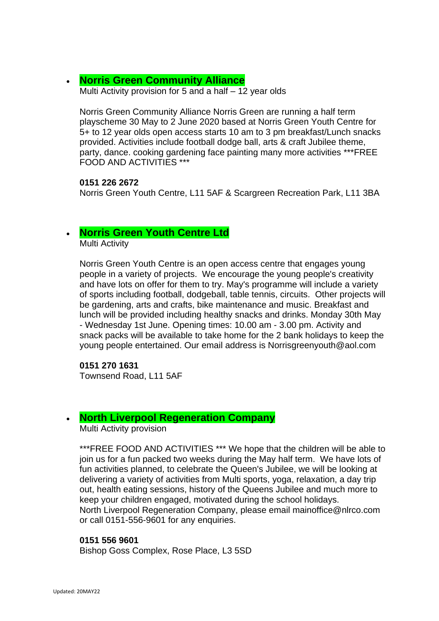### • **[Norris Green Community Alliance](https://www.facebook.com/NorrisGreenCommunityAlliance/)**

Multi Activity provision for 5 and a half – 12 year olds

Norris Green Community Alliance Norris Green are running a half term playscheme 30 May to 2 June 2020 based at Norris Green Youth Centre for 5+ to 12 year olds open access starts 10 am to 3 pm breakfast/Lunch snacks provided. Activities include football dodge ball, arts & craft Jubilee theme, party, dance. cooking gardening face painting many more activities \*\*\*FREE FOOD AND ACTIVITIES \*\*\*

#### **0151 226 2672**

Norris Green Youth Centre, L11 5AF & Scargreen Recreation Park, L11 3BA

### • **[Norris Green Youth Centre Ltd](https://www.facebook.com/norrisgreenyouthcentre/)**

Multi Activity

Norris Green Youth Centre is an open access centre that engages young people in a variety of projects. We encourage the young people's creativity and have lots on offer for them to try. May's programme will include a variety of sports including football, dodgeball, table tennis, circuits. Other projects will be gardening, arts and crafts, bike maintenance and music. Breakfast and lunch will be provided including healthy snacks and drinks. Monday 30th May - Wednesday 1st June. Opening times: 10.00 am - 3.00 pm. Activity and snack packs will be available to take home for the 2 bank holidays to keep the young people entertained. Our email address is Norrisgreenyouth@aol.com

**0151 270 1631** Townsend Road, L11 5AF

### • **North Liverpool Regeneration Company**

Multi Activity provision

\*\*\*FREE FOOD AND ACTIVITIES \*\*\* We hope that the children will be able to join us for a fun packed two weeks during the May half term. We have lots of fun activities planned, to celebrate the Queen's Jubilee, we will be looking at delivering a variety of activities from Multi sports, yoga, relaxation, a day trip out, health eating sessions, history of the Queens Jubilee and much more to keep your children engaged, motivated during the school holidays. North Liverpool Regeneration Company, please email mainoffice@nlrco.com or call 0151-556-9601 for any enquiries.

#### **0151 556 9601**

Bishop Goss Complex, Rose Place, L3 5SD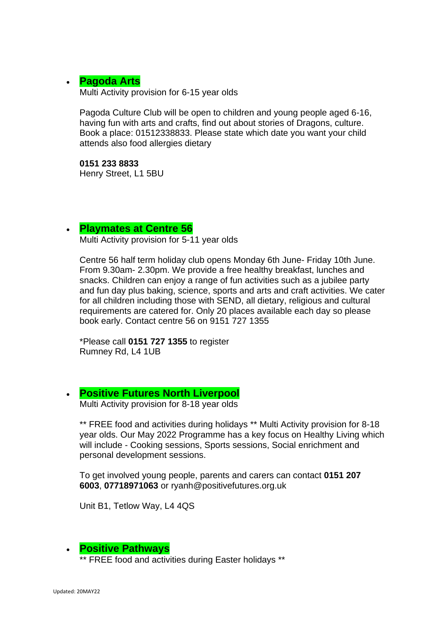### • **[Pagoda Arts](http://pagodaarts.org.uk/)**

Multi Activity provision for 6-15 year olds

Pagoda Culture Club will be open to children and young people aged 6-16, having fun with arts and crafts, find out about stories of Dragons, culture. Book a place: 01512338833. Please state which date you want your child attends also food allergies dietary

**0151 233 8833** Henry Street, L1 5BU

### • **[Playmates at Centre 56](https://www.centre56.org.uk/)**

Multi Activity provision for 5-11 year olds

Centre 56 half term holiday club opens Monday 6th June- Friday 10th June. From 9.30am- 2.30pm. We provide a free healthy breakfast, lunches and snacks. Children can enjoy a range of fun activities such as a jubilee party and fun day plus baking, science, sports and arts and craft activities. We cater for all children including those with SEND, all dietary, religious and cultural requirements are catered for. Only 20 places available each day so please book early. Contact centre 56 on 9151 727 1355

\*Please call **0151 727 1355** to register Rumney Rd, L4 1UB

### • **[Positive Futures North Liverpool](https://www.positivefutures.org.uk/)**

Multi Activity provision for 8-18 year olds

\*\* FREE food and activities during holidays \*\* Multi Activity provision for 8-18 year olds. Our May 2022 Programme has a key focus on Healthy Living which will include - Cooking sessions, Sports sessions, Social enrichment and personal development sessions.

To get involved young people, parents and carers can contact **0151 207 6003**, **07718971063** or ryanh@positivefutures.org.uk

Unit B1, Tetlow Way, L4 4QS

### • **Positive Pathways**

\*\* FREE food and activities during Easter holidays \*\*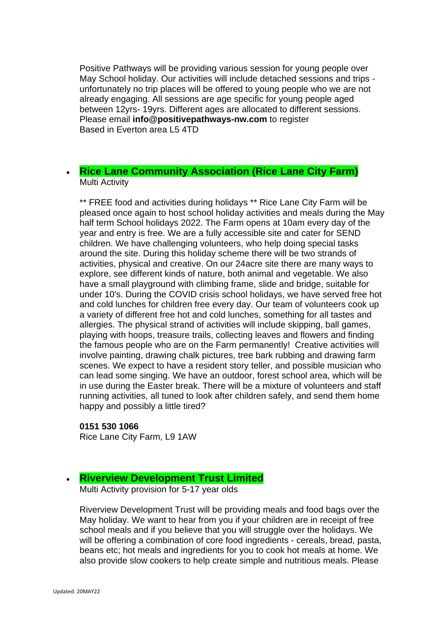Positive Pathways will be providing various session for young people over May School holiday. Our activities will include detached sessions and trips unfortunately no trip places will be offered to young people who we are not already engaging. All sessions are age specific for young people aged between 12yrs- 19yrs. Different ages are allocated to different sessions. Please email **info@positivepathways-nw.com** to register Based in Everton area L5 4TD

### • **[Rice Lane Community Association \(Rice Lane City Farm\)](https://ricelanecityfarm.co.uk/)** Multi Activity

\*\* FREE food and activities during holidays \*\* Rice Lane City Farm will be pleased once again to host school holiday activities and meals during the May half term School holidays 2022. The Farm opens at 10am every day of the year and entry is free. We are a fully accessible site and cater for SEND children. We have challenging volunteers, who help doing special tasks around the site. During this holiday scheme there will be two strands of activities, physical and creative. On our 24acre site there are many ways to explore, see different kinds of nature, both animal and vegetable. We also have a small playground with climbing frame, slide and bridge, suitable for under 10's. During the COVID crisis school holidays, we have served free hot and cold lunches for children free every day. Our team of volunteers cook up a variety of different free hot and cold lunches, something for all tastes and allergies. The physical strand of activities will include skipping, ball games, playing with hoops, treasure trails, collecting leaves and flowers and finding the famous people who are on the Farm permanently! Creative activities will involve painting, drawing chalk pictures, tree bark rubbing and drawing farm scenes. We expect to have a resident story teller, and possible musician who can lead some singing. We have an outdoor, forest school area, which will be in use during the Easter break. There will be a mixture of volunteers and staff running activities, all tuned to look after children safely, and send them home happy and possibly a little tired?

#### **0151 530 1066** Rice Lane City Farm, L9 1AW

### • **[Riverview Development Trust Limited](http://www.gtdt.co.uk/)**

Multi Activity provision for 5-17 year olds

Riverview Development Trust will be providing meals and food bags over the May holiday. We want to hear from you if your children are in receipt of free school meals and if you believe that you will struggle over the holidays. We will be offering a combination of core food ingredients - cereals, bread, pasta, beans etc; hot meals and ingredients for you to cook hot meals at home. We also provide slow cookers to help create simple and nutritious meals. Please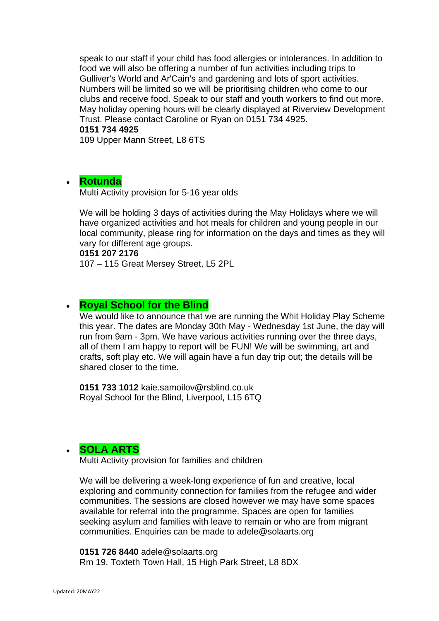speak to our staff if your child has food allergies or intolerances. In addition to food we will also be offering a number of fun activities including trips to Gulliver's World and Ar'Cain's and gardening and lots of sport activities. Numbers will be limited so we will be prioritising children who come to our clubs and receive food. Speak to our staff and youth workers to find out more. May holiday opening hours will be clearly displayed at Riverview Development Trust. Please contact Caroline or Ryan on 0151 734 4925.

**0151 734 4925**

109 Upper Mann Street, L8 6TS

### • **[Rotunda](https://www.therotunda.org.uk/)**

Multi Activity provision for 5-16 year olds

We will be holding 3 days of activities during the May Holidays where we will have organized activities and hot meals for children and young people in our local community, please ring for information on the days and times as they will vary for different age groups.

**0151 207 2176**

107 – 115 Great Mersey Street, L5 2PL

### • **Royal School for the Blind**

We would like to announce that we are running the Whit Holiday Play Scheme this year. The dates are Monday 30th May - Wednesday 1st June, the day will run from 9am - 3pm. We have various activities running over the three days, all of them I am happy to report will be FUN! We will be swimming, art and crafts, soft play etc. We will again have a fun day trip out; the details will be shared closer to the time.

**0151 733 1012** kaie.samoilov@rsblind.co.uk Royal School for the Blind, Liverpool, L15 6TQ

# • **[SOLA ARTS](http://solaarts.org/)**

Multi Activity provision for families and children

We will be delivering a week-long experience of fun and creative, local exploring and community connection for families from the refugee and wider communities. The sessions are closed however we may have some spaces available for referral into the programme. Spaces are open for families seeking asylum and families with leave to remain or who are from migrant communities. Enquiries can be made to adele@solaarts.org

**0151 726 8440** adele@solaarts.org Rm 19, Toxteth Town Hall, 15 High Park Street, L8 8DX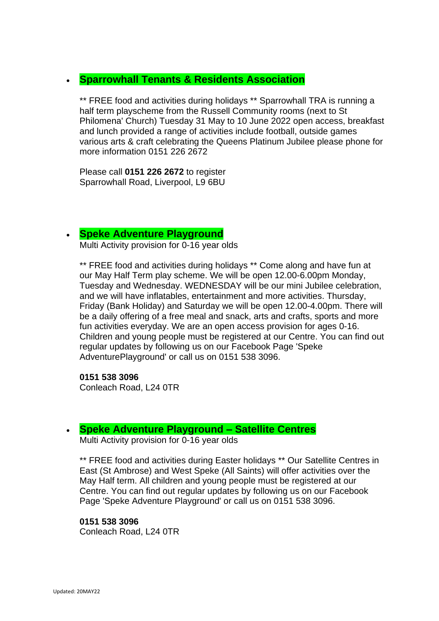### • **Sparrowhall Tenants & Residents Association**

\*\* FREE food and activities during holidays \*\* Sparrowhall TRA is running a half term playscheme from the Russell Community rooms (next to St Philomena' Church) Tuesday 31 May to 10 June 2022 open access, breakfast and lunch provided a range of activities include football, outside games various arts & craft celebrating the Queens Platinum Jubilee please phone for more information 0151 226 2672

Please call **0151 226 2672** to register Sparrowhall Road, Liverpool, L9 6BU

### • **[Speke Adventure Playground](http://www.spekeadventure.co.uk/)**

Multi Activity provision for 0-16 year olds

\*\* FREE food and activities during holidays \*\* Come along and have fun at our May Half Term play scheme. We will be open 12.00-6.00pm Monday, Tuesday and Wednesday. WEDNESDAY will be our mini Jubilee celebration, and we will have inflatables, entertainment and more activities. Thursday, Friday (Bank Holiday) and Saturday we will be open 12.00-4.00pm. There will be a daily offering of a free meal and snack, arts and crafts, sports and more fun activities everyday. We are an open access provision for ages 0-16. Children and young people must be registered at our Centre. You can find out regular updates by following us on our Facebook Page 'Speke AdventurePlayground' or call us on 0151 538 3096.

**0151 538 3096** Conleach Road, L24 0TR

### • **[Speke Adventure Playground](http://www.spekeadventure.co.uk/) – Satellite Centres**

Multi Activity provision for 0-16 year olds

\*\* FREE food and activities during Easter holidays \*\* Our Satellite Centres in East (St Ambrose) and West Speke (All Saints) will offer activities over the May Half term. All children and young people must be registered at our Centre. You can find out regular updates by following us on our Facebook Page 'Speke Adventure Playground' or call us on 0151 538 3096.

### **0151 538 3096**

Conleach Road, L24 0TR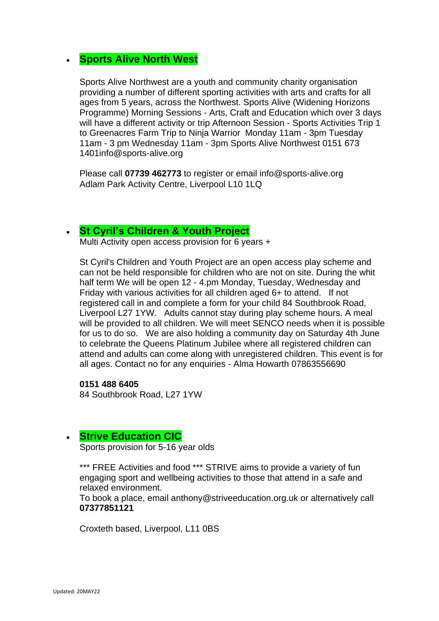# • **Sports Alive North West**

Sports Alive Northwest are a youth and community charity organisation providing a number of different sporting activities with arts and crafts for all ages from 5 years, across the Northwest. Sports Alive (Widening Horizons Programme) Morning Sessions - Arts, Craft and Education which over 3 days will have a different activity or trip Afternoon Session - Sports Activities Trip 1 to Greenacres Farm Trip to Ninja Warrior Monday 11am - 3pm Tuesday 11am - 3 pm Wednesday 11am - 3pm Sports Alive Northwest 0151 673 1401info@sports-alive.org

Please call **07739 462773** to register or email info@sports-alive.org Adlam Park Activity Centre, Liverpool L10 1LQ

### • **[St Cyril's Children & Youth Project](https://www.facebook.com/sccypkids)**

Multi Activity open access provision for 6 years +

St Cyril's Children and Youth Project are an open access play scheme and can not be held responsible for children who are not on site. During the whit half term We will be open 12 - 4.pm Monday, Tuesday, Wednesday and Friday with various activities for all children aged 6+ to attend. If not registered call in and complete a form for your child 84 Southbrook Road, Liverpool L27 1YW. Adults cannot stay during play scheme hours. A meal will be provided to all children. We will meet SENCO needs when it is possible for us to do so. We are also holding a community day on Saturday 4th June to celebrate the Queens Platinum Jubilee where all registered children can attend and adults can come along with unregistered children. This event is for all ages. Contact no for any enquiries - Alma Howarth 07863556690

**0151 488 6405** 84 Southbrook Road, L27 1YW

# • **Strive Education CIC**

Sports provision for 5-16 year olds

\*\*\* FREE Activities and food \*\*\* STRIVE aims to provide a variety of fun engaging sport and wellbeing activities to those that attend in a safe and relaxed environment.

To book a place, email anthony@striveeducation.org.uk or alternatively call **07377851121**

Croxteth based, Liverpool, L11 0BS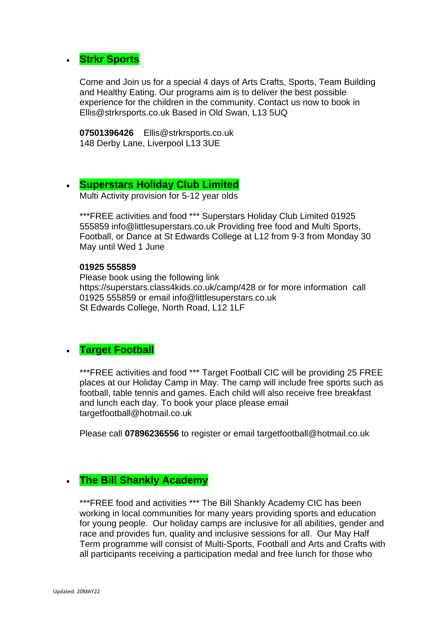# • **Strkr Sports**

Come and Join us for a special 4 days of Arts Crafts, Sports, Team Building and Healthy Eating. Our programs aim is to deliver the best possible experience for the children in the community. Contact us now to book in Ellis@strkrsports.co.uk Based in Old Swan, L13 5UQ

**07501396426** Ellis@strkrsports.co.uk 148 Derby Lane, Liverpool L13 3UE

### • **[Superstars Holiday Club Limited](http://www.littlesuperstars.co.uk/)**

Multi Activity provision for 5-12 year olds

\*\*\*FREE activities and food \*\*\* Superstars Holiday Club Limited 01925 555859 info@littlesuperstars.co.uk Providing free food and Multi Sports, Football, or Dance at St Edwards College at L12 from 9-3 from Monday 30 May until Wed 1 June

#### **01925 555859**

Please book using the following link https://superstars.class4kids.co.uk/camp/428 or for more information call 01925 555859 or email info@littlesuperstars.co.uk St Edwards College, North Road, L12 1LF

### • **Target Football**

\*\*\*FREE activities and food \*\*\* Target Football CIC will be providing 25 FREE places at our Holiday Camp in May. The camp will include free sports such as football, table tennis and games. Each child will also receive free breakfast and lunch each day. To book your place please email targetfootball@hotmail.co.uk

Please call **07896236556** to register or email targetfootball@hotmail.co.uk

### • **The Bill Shankly Academy**

\*\*\*FREE food and activities \*\*\* The Bill Shankly Academy CIC has been working in local communities for many years providing sports and education for young people. Our holiday camps are inclusive for all abilities, gender and race and provides fun, quality and inclusive sessions for all. Our May Half Term programme will consist of Multi-Sports, Football and Arts and Crafts with all participants receiving a participation medal and free lunch for those who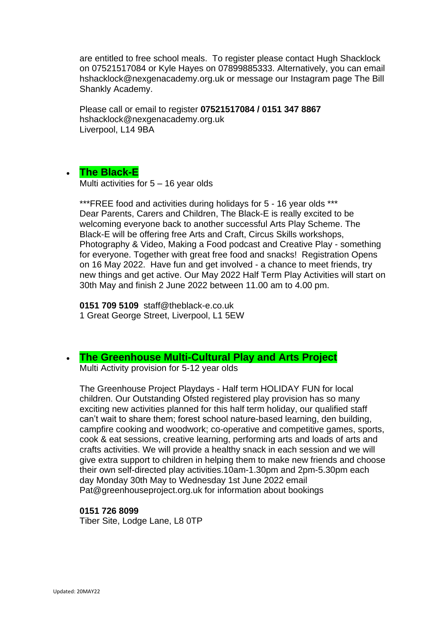are entitled to free school meals. To register please contact Hugh Shacklock on 07521517084 or Kyle Hayes on 07899885333. Alternatively, you can email hshacklock@nexgenacademy.org.uk or message our Instagram page The Bill Shankly Academy.

Please call or email to register **07521517084 / 0151 347 8867** hshacklock@nexgenacademy.org.uk Liverpool, L14 9BA

### • **The Black-E**

Multi activities for 5 – 16 year olds

\*\*\*FREE food and activities during holidays for 5 - 16 year olds \*\*\* Dear Parents, Carers and Children, The Black-E is really excited to be welcoming everyone back to another successful Arts Play Scheme. The Black-E will be offering free Arts and Craft, Circus Skills workshops, Photography & Video, Making a Food podcast and Creative Play - something for everyone. Together with great free food and snacks! Registration Opens on 16 May 2022. Have fun and get involved - a chance to meet friends, try new things and get active. Our May 2022 Half Term Play Activities will start on 30th May and finish 2 June 2022 between 11.00 am to 4.00 pm.

**0151 709 5109** staff@theblack-e.co.uk 1 Great George Street, Liverpool, L1 5EW

# • **[The Greenhouse Multi-Cultural](https://www.greenhouseproject.org.uk/) Play and Arts Project**

Multi Activity provision for 5-12 year olds

The Greenhouse Project Playdays - Half term HOLIDAY FUN for local children. Our Outstanding Ofsted registered play provision has so many exciting new activities planned for this half term holiday, our qualified staff can't wait to share them; forest school nature-based learning, den building, campfire cooking and woodwork; co-operative and competitive games, sports, cook & eat sessions, creative learning, performing arts and loads of arts and crafts activities. We will provide a healthy snack in each session and we will give extra support to children in helping them to make new friends and choose their own self-directed play activities.10am-1.30pm and 2pm-5.30pm each day Monday 30th May to Wednesday 1st June 2022 email Pat@greenhouseproject.org.uk for information about bookings

#### **0151 726 8099**

Tiber Site, Lodge Lane, L8 0TP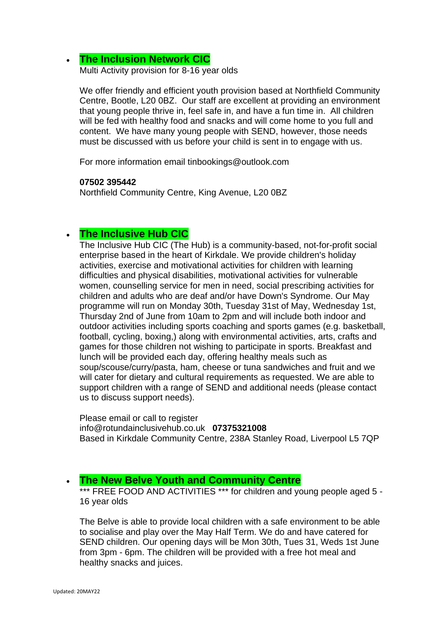### • **[The Inclusion Network CIC](https://theinclusionnetwork.uk/)**

Multi Activity provision for 8-16 year olds

We offer friendly and efficient youth provision based at Northfield Community Centre, Bootle, L20 0BZ. Our staff are excellent at providing an environment that young people thrive in, feel safe in, and have a fun time in. All children will be fed with healthy food and snacks and will come home to you full and content. We have many young people with SEND, however, those needs must be discussed with us before your child is sent in to engage with us.

For more information email tinbookings@outlook.com

#### **07502 395442**

Northfield Community Centre, King Avenue, L20 0BZ

### • **The Inclusive Hub CIC**

The Inclusive Hub CIC (The Hub) is a community-based, not-for-profit social enterprise based in the heart of Kirkdale. We provide children's holiday activities, exercise and motivational activities for children with learning difficulties and physical disabilities, motivational activities for vulnerable women, counselling service for men in need, social prescribing activities for children and adults who are deaf and/or have Down's Syndrome. Our May programme will run on Monday 30th, Tuesday 31st of May, Wednesday 1st, Thursday 2nd of June from 10am to 2pm and will include both indoor and outdoor activities including sports coaching and sports games (e.g. basketball, football, cycling, boxing,) along with environmental activities, arts, crafts and games for those children not wishing to participate in sports. Breakfast and lunch will be provided each day, offering healthy meals such as soup/scouse/curry/pasta, ham, cheese or tuna sandwiches and fruit and we will cater for dietary and cultural requirements as requested. We are able to support children with a range of SEND and additional needs (please contact us to discuss support needs).

Please email or call to register info@rotundainclusivehub.co.uk **07375321008** Based in Kirkdale Community Centre, 238A Stanley Road, Liverpool L5 7QP

### • **The New Belve Youth and Community Centre**

\*\*\* FREE FOOD AND ACTIVITIES \*\*\* for children and young people aged 5 -16 year olds

The Belve is able to provide local children with a safe environment to be able to socialise and play over the May Half Term. We do and have catered for SEND children. Our opening days will be Mon 30th, Tues 31, Weds 1st June from 3pm - 6pm. The children will be provided with a free hot meal and healthy snacks and juices.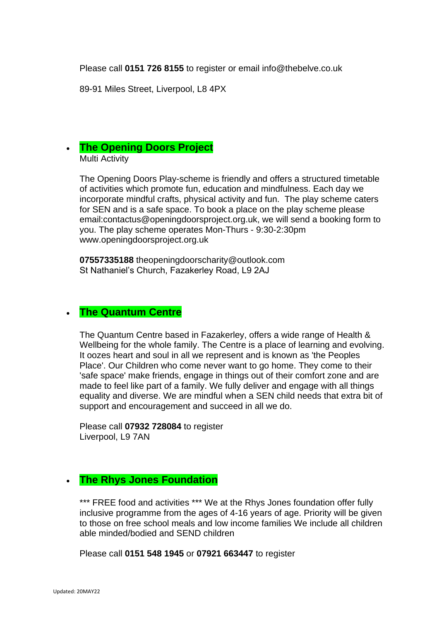Please call **0151 726 8155** to register or email info@thebelve.co.uk

89-91 Miles Street, Liverpool, L8 4PX

### • **[The Opening Doors Project](https://openingdoorsproject.org.uk/)** Multi Activity

The Opening Doors Play-scheme is friendly and offers a structured timetable of activities which promote fun, education and mindfulness. Each day we incorporate mindful crafts, physical activity and fun. The play scheme caters for SEN and is a safe space. To book a place on the play scheme please email:contactus@openingdoorsproject.org.uk, we will send a booking form to you. The play scheme operates Mon-Thurs - 9:30-2:30pm www.openingdoorsproject.org.uk

**07557335188** theopeningdoorscharity@outlook.com St Nathaniel's Church, Fazakerley Road, L9 2AJ

### • **The Quantum Centre**

The Quantum Centre based in Fazakerley, offers a wide range of Health & Wellbeing for the whole family. The Centre is a place of learning and evolving. It oozes heart and soul in all we represent and is known as 'the Peoples Place'. Our Children who come never want to go home. They come to their 'safe space' make friends, engage in things out of their comfort zone and are made to feel like part of a family. We fully deliver and engage with all things equality and diverse. We are mindful when a SEN child needs that extra bit of support and encouragement and succeed in all we do.

Please call **07932 728084** to register Liverpool, L9 7AN

# • **The Rhys Jones Foundation**

\*\*\* FREE food and activities \*\*\* We at the Rhys Jones foundation offer fully inclusive programme from the ages of 4-16 years of age. Priority will be given to those on free school meals and low income families We include all children able minded/bodied and SEND children

Please call **0151 548 1945** or **07921 663447** to register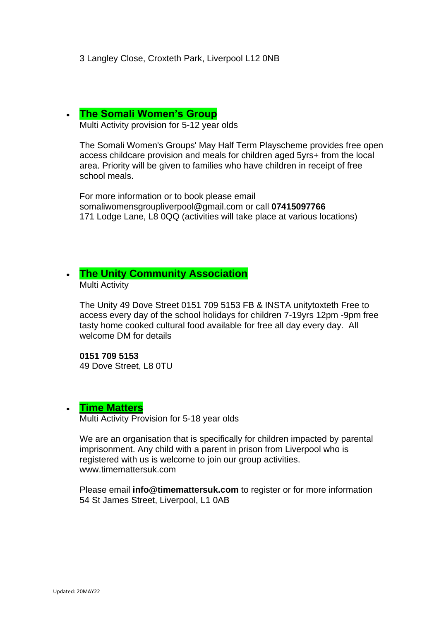### • **[The Somali Women's Group](https://swg.org.uk/)**

Multi Activity provision for 5-12 year olds

The Somali Women's Groups' May Half Term Playscheme provides free open access childcare provision and meals for children aged 5yrs+ from the local area. Priority will be given to families who have children in receipt of free school meals.

For more information or to book please email somaliwomensgroupliverpool@gmail.com or call **07415097766** 171 Lodge Lane, L8 0QQ (activities will take place at various locations)

# • **[The Unity Community Association](https://www.facebook.com/Unity-Community-Association-1397400053833036/)**

Multi Activity

The Unity 49 Dove Street 0151 709 5153 FB & INSTA unitytoxteth Free to access every day of the school holidays for children 7-19yrs 12pm -9pm free tasty home cooked cultural food available for free all day every day. All welcome DM for details

**0151 709 5153** 49 Dove Street, L8 0TU

### • **[Time Matters](https://www.timemattersuk.com/)**

Multi Activity Provision for 5-18 year olds

We are an organisation that is specifically for children impacted by parental imprisonment. Any child with a parent in prison from Liverpool who is registered with us is welcome to join our group activities. www.timemattersuk.com

Please email **info@timemattersuk.com** to register or for more information 54 St James Street, Liverpool, L1 0AB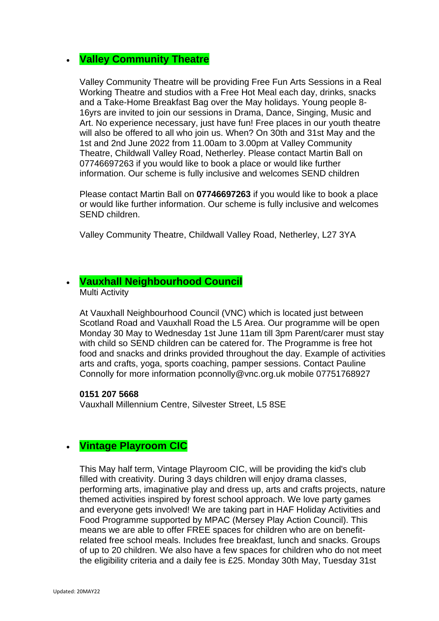# • **Valley Community Theatre**

Valley Community Theatre will be providing Free Fun Arts Sessions in a Real Working Theatre and studios with a Free Hot Meal each day, drinks, snacks and a Take-Home Breakfast Bag over the May holidays. Young people 8- 16yrs are invited to join our sessions in Drama, Dance, Singing, Music and Art. No experience necessary, just have fun! Free places in our youth theatre will also be offered to all who join us. When? On 30th and 31st May and the 1st and 2nd June 2022 from 11.00am to 3.00pm at Valley Community Theatre, Childwall Valley Road, Netherley. Please contact Martin Ball on 07746697263 if you would like to book a place or would like further information. Our scheme is fully inclusive and welcomes SEND children

Please contact Martin Ball on **07746697263** if you would like to book a place or would like further information. Our scheme is fully inclusive and welcomes SEND children.

Valley Community Theatre, Childwall Valley Road, Netherley, L27 3YA

### • **Vauxhall Neighbourhood Council**

Multi Activity

At Vauxhall Neighbourhood Council (VNC) which is located just between Scotland Road and Vauxhall Road the L5 Area. Our programme will be open Monday 30 May to Wednesday 1st June 11am till 3pm Parent/carer must stay with child so SEND children can be catered for. The Programme is free hot food and snacks and drinks provided throughout the day. Example of activities arts and crafts, yoga, sports coaching, pamper sessions. Contact Pauline Connolly for more information pconnolly@vnc.org.uk mobile 07751768927

#### **0151 207 5668**

Vauxhall Millennium Centre, Silvester Street, L5 8SE

### • **Vintage Playroom CIC**

This May half term, Vintage Playroom CIC, will be providing the kid's club filled with creativity. During 3 days children will enjoy drama classes, performing arts, imaginative play and dress up, arts and crafts projects, nature themed activities inspired by forest school approach. We love party games and everyone gets involved! We are taking part in HAF Holiday Activities and Food Programme supported by MPAC (Mersey Play Action Council). This means we are able to offer FREE spaces for children who are on benefitrelated free school meals. Includes free breakfast, lunch and snacks. Groups of up to 20 children. We also have a few spaces for children who do not meet the eligibility criteria and a daily fee is £25. Monday 30th May, Tuesday 31st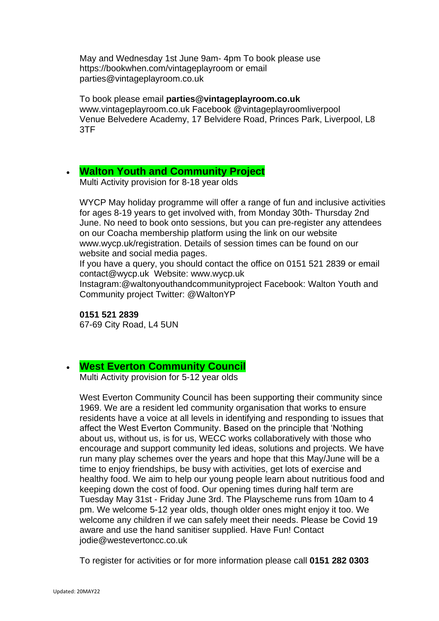May and Wednesday 1st June 9am- 4pm To book please use https://bookwhen.com/vintageplayroom or email parties@vintageplayroom.co.uk

To book please email **parties@vintageplayroom.co.uk** www.vintageplayroom.co.uk Facebook @vintageplayroomliverpool Venue Belvedere Academy, 17 Belvidere Road, Princes Park, Liverpool, L8 3TF

### • **[Walton Youth and Community Project](http://www.waltonyouthproject.co.uk/)**

Multi Activity provision for 8-18 year olds

WYCP May holiday programme will offer a range of fun and inclusive activities for ages 8-19 years to get involved with, from Monday 30th- Thursday 2nd June. No need to book onto sessions, but you can pre-register any attendees on our Coacha membership platform using the link on our website www.wycp.uk/registration. Details of session times can be found on our website and social media pages.

If you have a query, you should contact the office on 0151 521 2839 or email contact@wycp.uk Website: www.wycp.uk

Instagram:@waltonyouthandcommunityproject Facebook: Walton Youth and Community project Twitter: @WaltonYP

### **0151 521 2839**

67-69 City Road, L4 5UN

### • **[West Everton Community Council](http://www.westevertoncc.co.uk/)**

Multi Activity provision for 5-12 year olds

West Everton Community Council has been supporting their community since 1969. We are a resident led community organisation that works to ensure residents have a voice at all levels in identifying and responding to issues that affect the West Everton Community. Based on the principle that 'Nothing about us, without us, is for us, WECC works collaboratively with those who encourage and support community led ideas, solutions and projects. We have run many play schemes over the years and hope that this May/June will be a time to enjoy friendships, be busy with activities, get lots of exercise and healthy food. We aim to help our young people learn about nutritious food and keeping down the cost of food. Our opening times during half term are Tuesday May 31st - Friday June 3rd. The Playscheme runs from 10am to 4 pm. We welcome 5-12 year olds, though older ones might enjoy it too. We welcome any children if we can safely meet their needs. Please be Covid 19 aware and use the hand sanitiser supplied. Have Fun! Contact jodie@westevertoncc.co.uk

To register for activities or for more information please call **0151 282 0303**